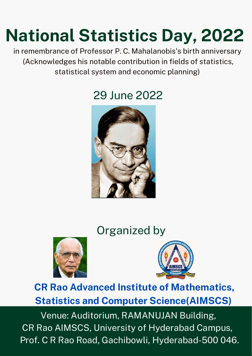# **National Statistics Day, 2022**

#### in remembrance of Professor P. C. Mahalanobis's birth anniversary (Acknowledges his notable contribution in fields of statistics, statistical system and economic planning)

### **CR Rao Advanced Institute of Mathematics, Statistics and Computer Science(AIMSCS)**

Venue: Auditorium, RAMANUJAN Building, CR Rao AIMSCS, University of Hyderabad Campus, Prof. C R Rao Road, Gachibowli, Hyderabad-500 046.

### Organized by





## 29 June 2022